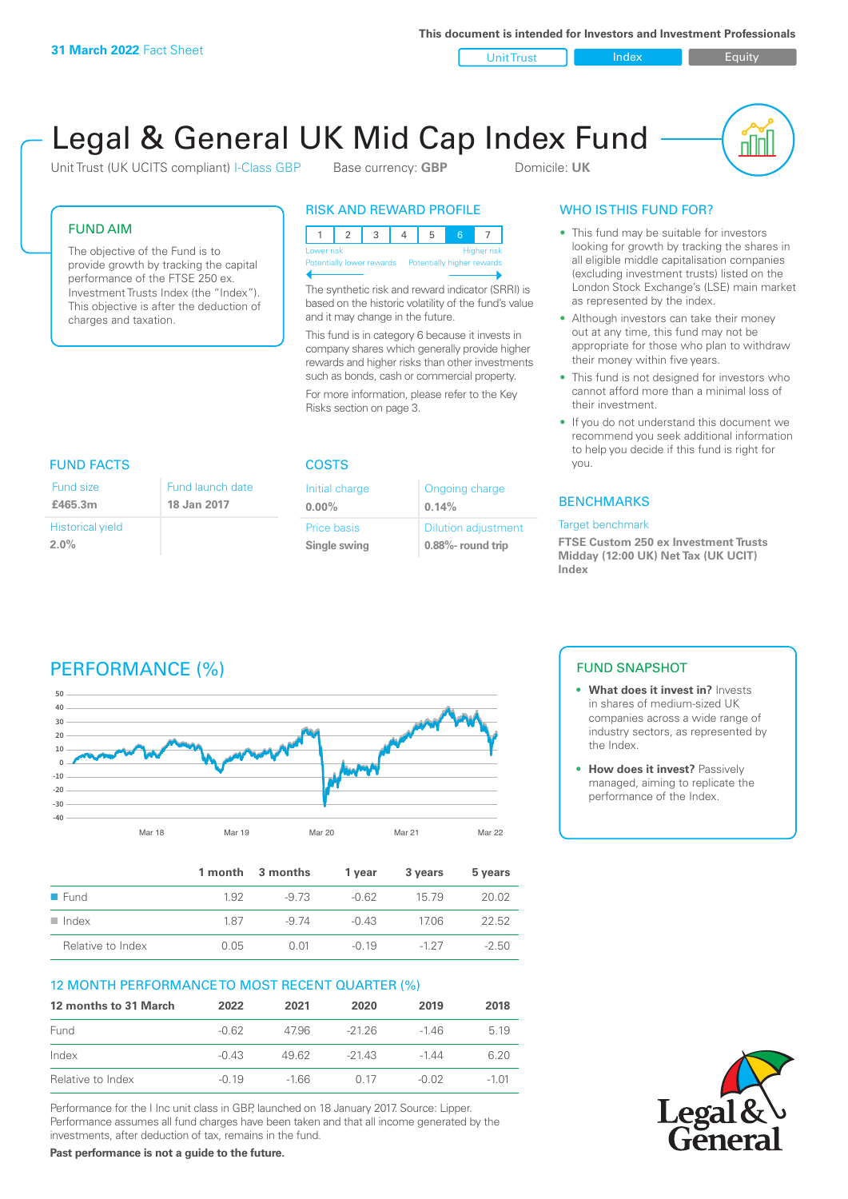**This document is intended for Investors and Investment Professionals**

Unit Trust Index I Equity

# Legal & General UK Mid Cap Index Fund

Initial charge **0.00%**

Price basis **Single swing**

Unit Trust (UK UCITS compliant) I-Class GBP Base currency: **GBP** Domicile: UK

nnl

## FUND AIM

The objective of the Fund is to provide growth by tracking the capital performance of the FTSE 250 ex. Investment Trusts Index (the "Index"). This objective is after the deduction of charges and taxation.

FUND FACTS COSTS

Fund launch date **18 Jan 2017**

## RISK AND REWARD PROFILE

| Lower risk<br><b>Higher risk</b> |  |  |  |                                                      |  |  |  |  |
|----------------------------------|--|--|--|------------------------------------------------------|--|--|--|--|
|                                  |  |  |  | Potentially lower rewards Potentially higher rewards |  |  |  |  |
|                                  |  |  |  |                                                      |  |  |  |  |

The synthetic risk and reward indicator (SRRI) is based on the historic volatility of the fund's value and it may change in the future.

This fund is in category 6 because it invests in company shares which generally provide higher rewards and higher risks than other investments such as bonds, cash or commercial property.

For more information, please refer to the Key Risks section on page 3.

Ongoing charge

Dilution adjustment **0.88%- round trip**

**0.14%**

## WHO IS THIS FUND FOR?

- This fund may be suitable for investors looking for growth by tracking the shares in all eligible middle capitalisation companies (excluding investment trusts) listed on the London Stock Exchange's (LSE) main market as represented by the index.
- Although investors can take their money out at any time, this fund may not be appropriate for those who plan to withdraw their money within five years.
- This fund is not designed for investors who cannot afford more than a minimal loss of their investment.
- If you do not understand this document we recommend you seek additional information to help you decide if this fund is right for you.

## **BENCHMARKS**

#### Target benchmark

**FTSE Custom 250 ex Investment Trusts Midday (12:00 UK) Net Tax (UK UCIT) Index**

## Historical yield

**2.0%**

Fund size **£465.3m**

## PERFORMANCE (%)



|                      |      | 1 month 3 months | 1 vear  | 3 years | 5 years |
|----------------------|------|------------------|---------|---------|---------|
| $\blacksquare$ Fund  | 1.92 | -9.73            | $-0.62$ | 15 79   | 20.02   |
| $\blacksquare$ Index | 187  | -9 74            | $-0.43$ | 1706    | 22.52   |
| Relative to Index    | 0.05 | O 01             | $-0.19$ | $-127$  | $-2.50$ |

## 12 MONTH PERFORMANCE TO MOST RECENT QUARTER (%)

| 12 months to 31 March | 2022    | 2021   | 2020    | 2019    | 2018  |
|-----------------------|---------|--------|---------|---------|-------|
| Fund                  | $-0.62$ | 4796   | -2126   | -146    | 5 1 9 |
| Index                 | $-0.43$ | 49.62  | $-2143$ | $-1.44$ | 6.20  |
| Relative to Index     | $-0.19$ | $-166$ | O 17    | $-0.02$ | -1.01 |

Performance for the I Inc unit class in GBP, launched on 18 January 2017. Source: Lipper. Performance assumes all fund charges have been taken and that all income generated by the investments, after deduction of tax, remains in the fund.

**Past performance is not a guide to the future.**

## FUND SNAPSHOT

- **• What does it invest in?** Invests in shares of medium-sized UK companies across a wide range of industry sectors, as represented by the Index.
- **• How does it invest?** Passively managed, aiming to replicate the performance of the Index.

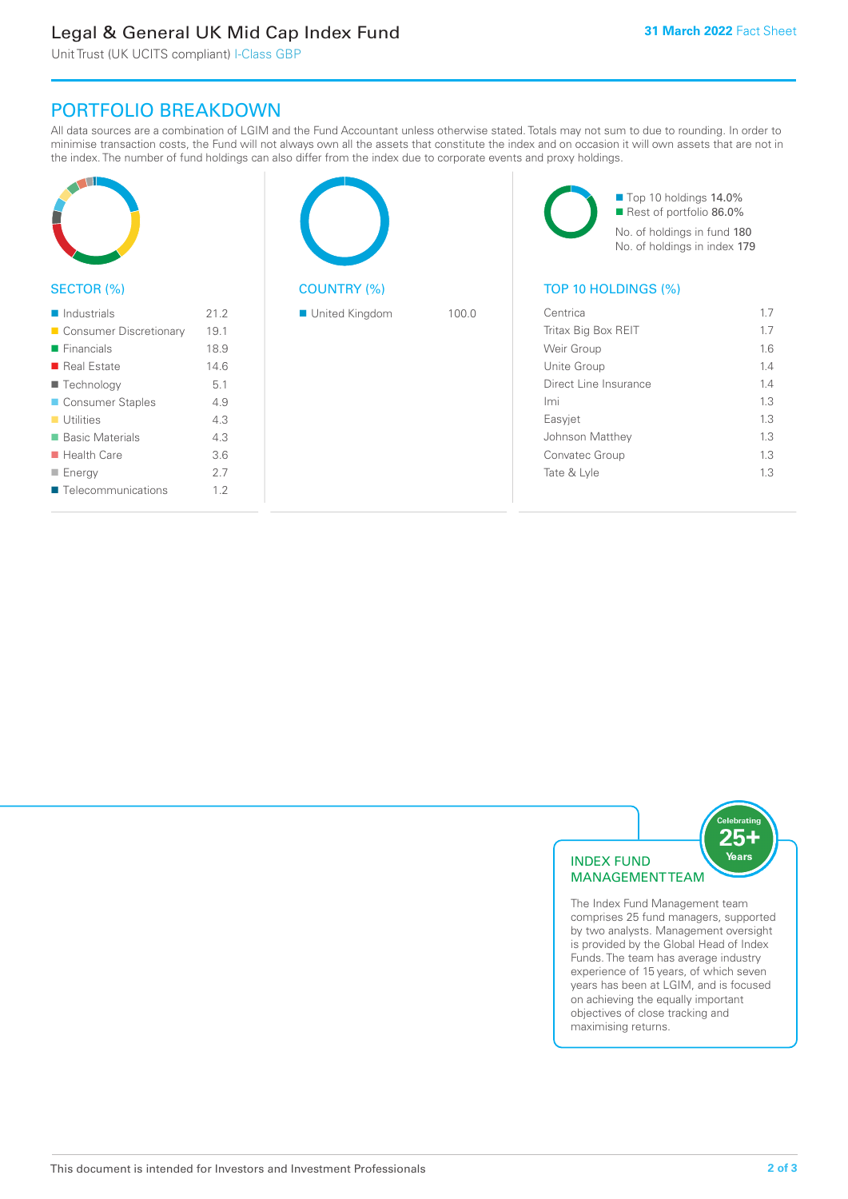## Legal & General UK Mid Cap Index Fund

Unit Trust (UK UCITS compliant) I-Class GBP

## PORTFOLIO BREAKDOWN

All data sources are a combination of LGIM and the Fund Accountant unless otherwise stated. Totals may not sum to due to rounding. In order to minimise transaction costs, the Fund will not always own all the assets that constitute the index and on occasion it will own assets that are not in the index. The number of fund holdings can also differ from the index due to corporate events and proxy holdings.

| SECTOR (%)                 |      | <b>COUNTRY (%)</b> |       | Top 10 holdings 14.0%<br>Rest of portfolio 86.0%<br>No. of holdings in fund 180<br>No. of holdings in index 179<br>TOP 10 HOLDINGS (%) |     |
|----------------------------|------|--------------------|-------|----------------------------------------------------------------------------------------------------------------------------------------|-----|
| $\blacksquare$ Industrials | 21.2 | United Kingdom     | 100.0 | Centrica                                                                                                                               | 1.7 |
| Consumer Discretionary     | 19.1 |                    |       | Tritax Big Box REIT                                                                                                                    | 1.7 |
| $\blacksquare$ Financials  | 18.9 |                    |       | Weir Group                                                                                                                             | 1.6 |
| Real Estate                | 14.6 |                    |       | Unite Group                                                                                                                            | 1.4 |
| ■ Technology               | 5.1  |                    |       | Direct Line Insurance                                                                                                                  | 1.4 |
| Consumer Staples           | 4.9  |                    |       | Imi                                                                                                                                    | 1.3 |
| $\blacksquare$ Utilities   | 4.3  |                    |       | Easyjet                                                                                                                                | 1.3 |
| ■ Basic Materials          | 4.3  |                    |       | Johnson Matthey                                                                                                                        | 1.3 |
| $\blacksquare$ Health Care | 3.6  |                    |       | Convatec Group                                                                                                                         | 1.3 |
| $\blacksquare$ Energy      | 2.7  |                    |       | Tate & Lyle                                                                                                                            | 1.3 |
| ■ Telecommunications       | 1.2  |                    |       |                                                                                                                                        |     |



The Index Fund Management team comprises 25 fund managers, supported by two analysts. Management oversight is provided by the Global Head of Index Funds. The team has average industry experience of 15 years, of which seven years has been at LGIM, and is focused on achieving the equally important objectives of close tracking and maximising returns.